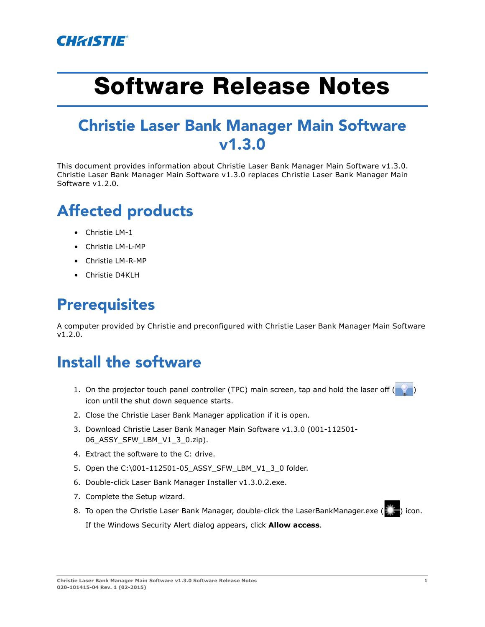

# **Software Release Notes**

### Christie Laser Bank Manager Main Software v1.3.0

This document provides information about Christie Laser Bank Manager Main Software v1.3.0. Christie Laser Bank Manager Main Software v1.3.0 replaces Christie Laser Bank Manager Main Software v1.2.0.

## Affected products

- Christie LM-1
- Christie LM-L-MP
- Christie LM-R-MP
- Christie D4KLH

#### **Prerequisites**

A computer provided by Christie and preconfigured with Christie Laser Bank Manager Main Software v1.2.0.

#### Install the software

- 1. On the projector touch panel controller (TPC) main screen, tap and hold the laser off ( icon until the shut down sequence starts.
- 2. Close the Christie Laser Bank Manager application if it is open.
- 3. Download Christie Laser Bank Manager Main Software v1.3.0 (001-112501- 06\_ASSY\_SFW\_LBM\_V1\_3\_0.zip).
- 4. Extract the software to the C: drive.
- 5. Open the C:\001-112501-05\_ASSY\_SFW\_LBM\_V1\_3\_0 folder.
- 6. Double-click Laser Bank Manager Installer v1.3.0.2.exe.
- 7. Complete the Setup wizard.
- 8. To open the Christie Laser Bank Manager, double-click the LaserBankManager.exe (2025) icon. If the Windows Security Alert dialog appears, click **Allow access**.